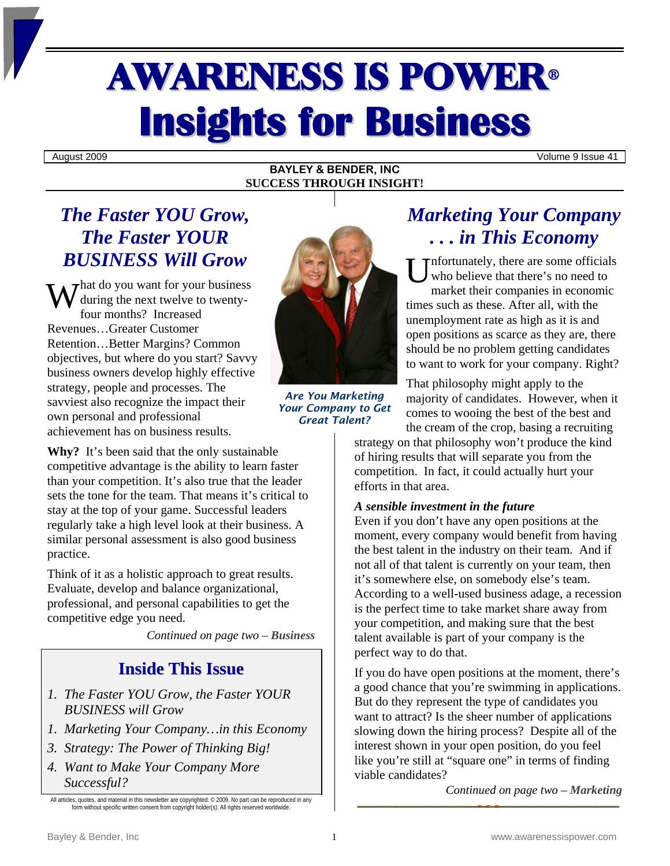# AWARENESS IS POWER<sup>ü</sup> **Insights for Business**

August 2009 Volume 9 Issue 41

### **BAYLEY & BENDER, INC SUCCESS THROUGH INSIGHT!**

### *The Faster YOU Grow, The Faster YOUR BUSINESS Will Grow*

 $\mathbf{W}^{\text{hat do you want for your business}}_{\text{four months? Increased}}$ during the next twelve to twentyfour months? Increased Revenues…Greater Customer Retention…Better Margins? Common objectives, but where do you start? Savvy business owners develop highly effective strategy, people and processes. The savviest also recognize the impact their own personal and professional achievement has on business results.

**Why?** It's been said that the only sustainable competitive advantage is the ability to learn faster than your competition. It's also true that the leader sets the tone for the team. That means it's critical to stay at the top of your game. Successful leaders regularly take a high level look at their business. A similar personal assessment is also good business practice.

Think of it as a holistic approach to great results. Evaluate, develop and balance organizational, professional, and personal capabilities to get the competitive edge you need.

*Continued on page two – Business* 

### **Inside This Issue**

- *1. The Faster YOU Grow, the Faster YOUR BUSINESS will Grow*
- *1. Marketing Your Company…in this Economy*
- *3. Strategy: The Power of Thinking Big!*
- *4. Want to Make Your Company More Successful?*



*Are You Marketing Your Company to Get Great Talent?* 

### *Marketing Your Company . . . in This Economy*

nfortunately, there are some officials who believe that there's no need to market their companies in economic times such as these. After all, with the unemployment rate as high as it is and open positions as scarce as they are, there should be no problem getting candidates to want to work for your company. Right? U

That philosophy might apply to the majority of candidates. However, when it comes to wooing the best of the best and the cream of the crop, basing a recruiting

strategy on that philosophy won't produce the kind of hiring results that will separate you from the competition. In fact, it could actually hurt your efforts in that area.

### *A sensible investment in the future*

Even if you don't have any open positions at the moment, every company would benefit from having the best talent in the industry on their team. And if not all of that talent is currently on your team, then it's somewhere else, on somebody else's team. According to a well-used business adage, a recession is the perfect time to take market share away from your competition, and making sure that the best talent available is part of your company is the perfect way to do that.

If you do have open positions at the moment, there's a good chance that you're swimming in applications. But do they represent the type of candidates you want to attract? Is the sheer number of applications slowing down the hiring process? Despite all of the interest shown in your open position, do you feel like you're still at "square one" in terms of finding viable candidates?

*Continued on page two – Marketing* 

All articles, quotes, and material in this newsletter are copyrighted. © 2009. No part can be reproduced in any form without specific written consent from copyright holder(s). All rights reserved worldwide.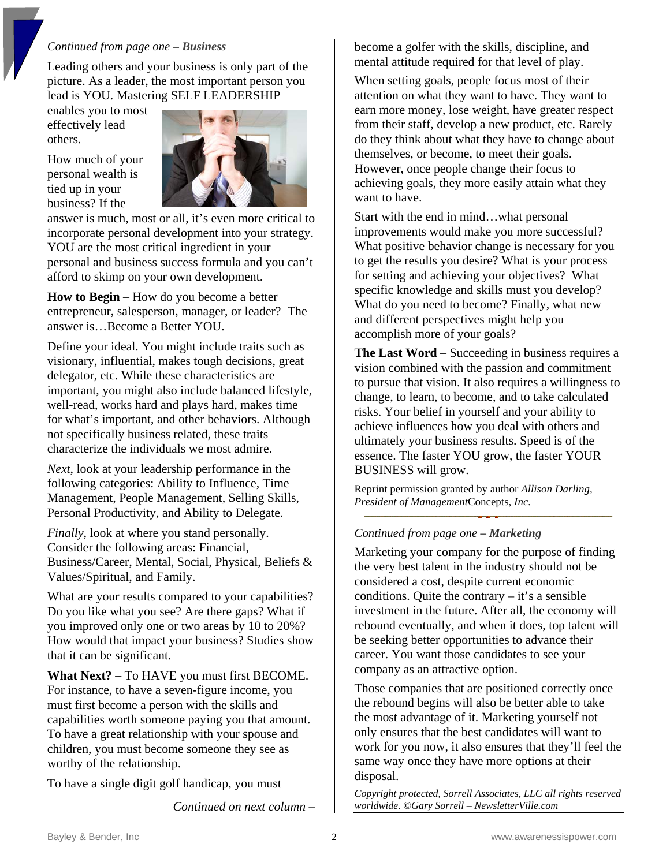### *Continued from page one – Business*

Leading others and your business is only part of the picture. As a leader, the most important person you lead is YOU. Mastering SELF LEADERSHIP

enables you to most effectively lead others.

How much of your personal wealth is tied up in your business? If the



answer is much, most or all, it's even more critical to incorporate personal development into your strategy. YOU are the most critical ingredient in your personal and business success formula and you can't afford to skimp on your own development.

**How to Begin –** How do you become a better entrepreneur, salesperson, manager, or leader? The answer is…Become a Better YOU.

Define your ideal. You might include traits such as visionary, influential, makes tough decisions, great delegator, etc. While these characteristics are important, you might also include balanced lifestyle, well-read, works hard and plays hard, makes time for what's important, and other behaviors. Although not specifically business related, these traits characterize the individuals we most admire.

*Next*, look at your leadership performance in the following categories: Ability to Influence, Time Management, People Management, Selling Skills, Personal Productivity, and Ability to Delegate.

*Finally*, look at where you stand personally. Consider the following areas: Financial, Business/Career, Mental, Social, Physical, Beliefs & Values/Spiritual, and Family.

What are your results compared to your capabilities? Do you like what you see? Are there gaps? What if you improved only one or two areas by 10 to 20%? How would that impact your business? Studies show that it can be significant.

**What Next? –** To HAVE you must first BECOME. For instance, to have a seven-figure income, you must first become a person with the skills and capabilities worth someone paying you that amount. To have a great relationship with your spouse and children, you must become someone they see as worthy of the relationship.

To have a single digit golf handicap, you must

*Continued on next column –*

become a golfer with the skills, discipline, and mental attitude required for that level of play.

When setting goals, people focus most of their attention on what they want to have. They want to earn more money, lose weight, have greater respect from their staff, develop a new product, etc. Rarely do they think about what they have to change about themselves, or become, to meet their goals. However, once people change their focus to achieving goals, they more easily attain what they want to have.

Start with the end in mind…what personal improvements would make you more successful? What positive behavior change is necessary for you to get the results you desire? What is your process for setting and achieving your objectives? What specific knowledge and skills must you develop? What do you need to become? Finally, what new and different perspectives might help you accomplish more of your goals?

**The Last Word –** Succeeding in business requires a vision combined with the passion and commitment to pursue that vision. It also requires a willingness to change, to learn, to become, and to take calculated risks. Your belief in yourself and your ability to achieve influences how you deal with others and ultimately your business results. Speed is of the essence. The faster YOU grow, the faster YOUR BUSINESS will grow.

Reprint permission granted by author *Allison Darling, President of Management*Concepts*, Inc.* 

#### *Continued from page one – Marketing*

Marketing your company for the purpose of finding the very best talent in the industry should not be considered a cost, despite current economic conditions. Quite the contrary  $-$  it's a sensible investment in the future. After all, the economy will rebound eventually, and when it does, top talent will be seeking better opportunities to advance their career. You want those candidates to see your company as an attractive option.

Those companies that are positioned correctly once the rebound begins will also be better able to take the most advantage of it. Marketing yourself not only ensures that the best candidates will want to work for you now, it also ensures that they'll feel the same way once they have more options at their disposal.

*Copyright protected, Sorrell Associates, LLC all rights reserved worldwide. ©Gary Sorrell – NewsletterVille.com*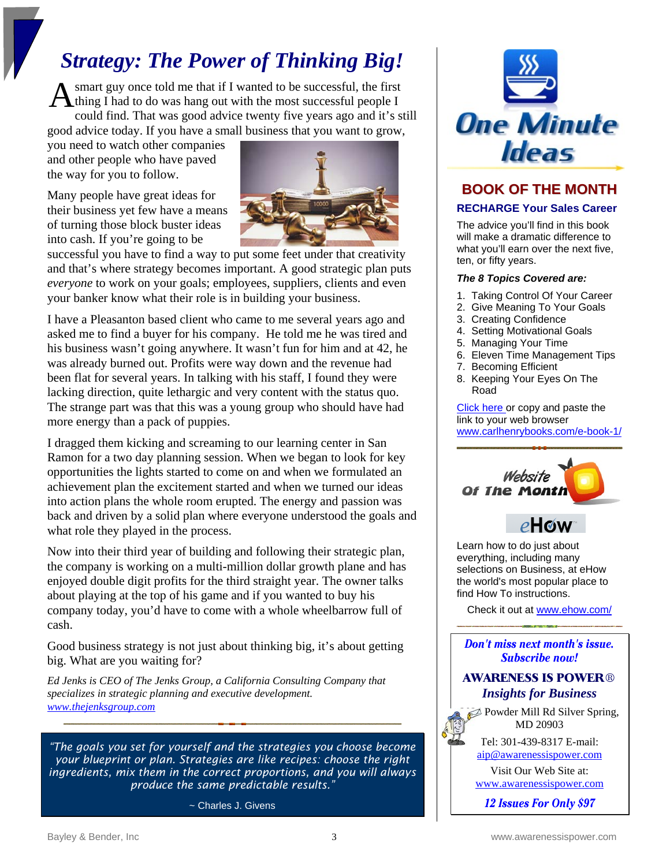## *Strategy: The Power of Thinking Big!*

smart guy once told me that if I wanted to be successful, the first A smart guy once told me that if I wanted to be successful, the first<br>thing I had to do was hang out with the most successful people I could find. That was good advice twenty five years ago and it's still good advice today. If you have a small business that you want to grow,

you need to watch other companies and other people who have paved the way for you to follow.

Many people have great ideas for their business yet few have a means of turning those block buster ideas into cash. If you're going to be



successful you have to find a way to put some feet under that creativity and that's where strategy becomes important. A good strategic plan puts *everyone* to work on your goals; employees, suppliers, clients and even your banker know what their role is in building your business.

I have a Pleasanton based client who came to me several years ago and asked me to find a buyer for his company. He told me he was tired and his business wasn't going anywhere. It wasn't fun for him and at 42, he was already burned out. Profits were way down and the revenue had been flat for several years. In talking with his staff, I found they were lacking direction, quite lethargic and very content with the status quo. The strange part was that this was a young group who should have had more energy than a pack of puppies.

I dragged them kicking and screaming to our learning center in San Ramon for a two day planning session. When we began to look for key opportunities the lights started to come on and when we formulated an achievement plan the excitement started and when we turned our ideas into action plans the whole room erupted. The energy and passion was back and driven by a solid plan where everyone understood the goals and what role they played in the process.

Now into their third year of building and following their strategic plan, the company is working on a multi-million dollar growth plane and has enjoyed double digit profits for the third straight year. The owner talks about playing at the top of his game and if you wanted to buy his company today, you'd have to come with a whole wheelbarrow full of cash.

Good business strategy is not just about thinking big, it's about getting big. What are you waiting for?

*Ed Jenks is CEO of The Jenks Group, a California Consulting Company that specializes in strategic planning and executive development. [www.thejenksgroup.com](http://www.thejenksgroup.com/)*

*"The goals you set for yourself and the strategies you choose become your blueprint or plan. Strategies are like recipes: choose the right ingredients, mix them in the correct proportions, and you will always produce the same predictable results."* 

~ Charles J. Givens



### **BOOK OF THE MONTH**

#### **RECHARGE Your Sales Career**

The advice you'll find in this book will make a dramatic difference to what you'll earn over the next five, ten, or fifty years.

#### *The 8 Topics Covered are:*

- 1. Taking Control Of Your Career
- 2. Give Meaning To Your Goals
- 3. Creating Confidence
- 4. Setting Motivational Goals
- 5. Managing Your Time
- 6. Eleven Time Management Tips
- 7. Becoming Efficient
- 8. Keeping Your Eyes On The Road

[Click here](http://www.carlhenrybooks.com/e-book-1/) or copy and paste the link to your web browser [www.carlhenrybooks.com/e-book-1/](http://www.carlhenrybooks.com/e-book-1/)



### eHow

Learn how to do just about everything, including many selections on Business, at eHow the world's most popular place to find How To instructions.

Check it out at [www.ehow.com/](http://www.ehow.com/)

Don't miss next month's issue. Subscribe now!

### AWARENESS IS POWERü *Insights for Business*

**2024** Powder Mill Rd Silver Spring, MD 20903

Tel: 301-439-8317 E-mail: [aip@awarenessispower.com](mailto:aip@awarenessispower.com)

Visit Our Web Site at: [www.awarenessispower.com](http://www.awarenessispower.com/)

12 **Issues For Only \$97**